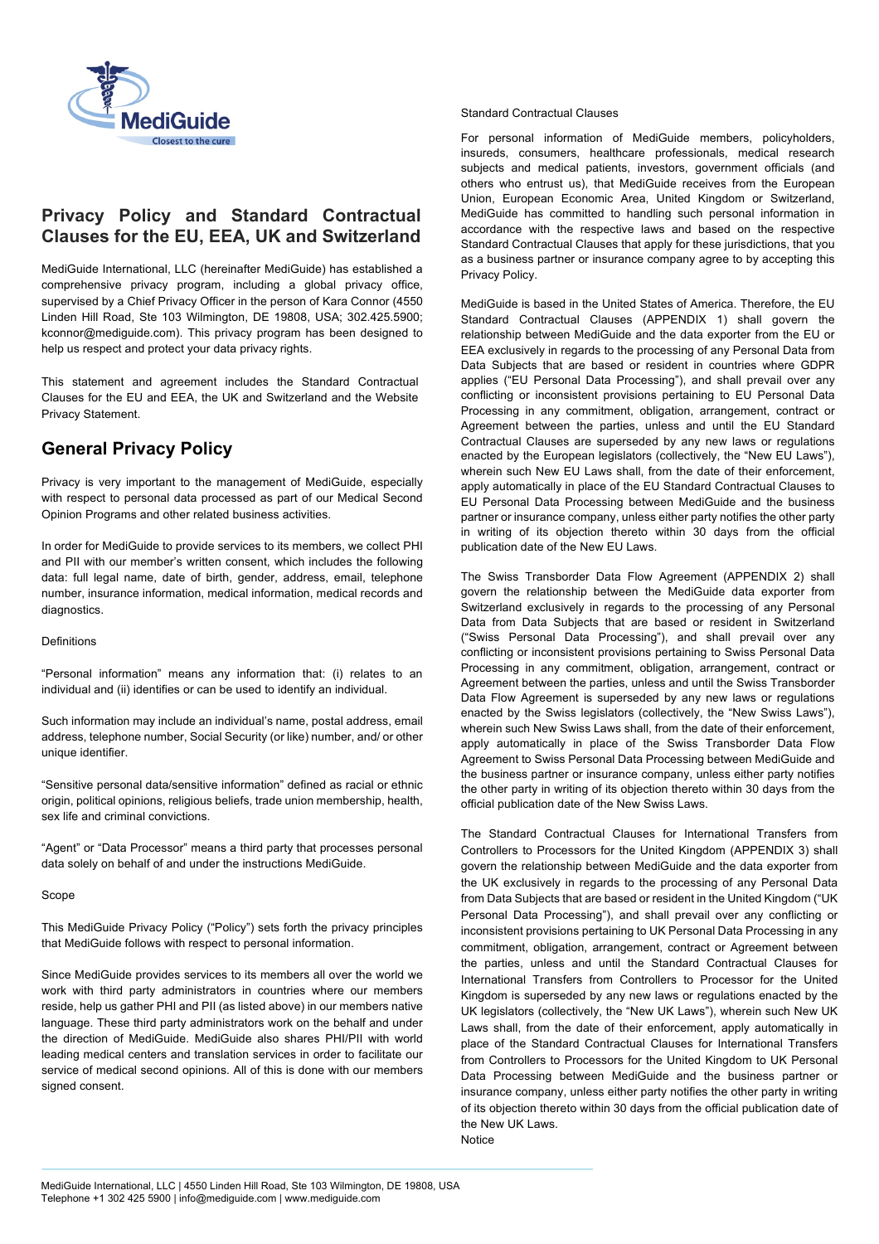

# **Privacy Policy and Standard Contractual Clauses for the EU, EEA, UK and Switzerland**

MediGuide International, LLC (hereinafter MediGuide) has established a comprehensive privacy program, including a global privacy office, supervised by a Chief Privacy Officer in the person of Kara Connor (4550 Linden Hill Road, Ste 103 Wilmington, DE 19808, USA; 302.425.5900; kconnor@mediguide.com). This privacy program has been designed to help us respect and protect your data privacy rights.

This statement and agreement includes the Standard Contractual Clauses for the EU and EEA, the UK and Switzerland and the Website Privacy Statement.

# **General Privacy Policy**

Privacy is very important to the management of MediGuide, especially with respect to personal data processed as part of our Medical Second Opinion Programs and other related business activities.

In order for MediGuide to provide services to its members, we collect PHI and PII with our member's written consent, which includes the following data: full legal name, date of birth, gender, address, email, telephone number, insurance information, medical information, medical records and diagnostics.

#### Definitions

"Personal information" means any information that: (i) relates to an individual and (ii) identifies or can be used to identify an individual.

Such information may include an individual's name, postal address, email address, telephone number, Social Security (or like) number, and/ or other unique identifier.

"Sensitive personal data/sensitive information" defined as racial or ethnic origin, political opinions, religious beliefs, trade union membership, health, sex life and criminal convictions.

"Agent" or "Data Processor" means a third party that processes personal data solely on behalf of and under the instructions MediGuide.

#### Scope

This MediGuide Privacy Policy ("Policy") sets forth the privacy principles that MediGuide follows with respect to personal information.

Since MediGuide provides services to its members all over the world we work with third party administrators in countries where our members reside, help us gather PHI and PII (as listed above) in our members native language. These third party administrators work on the behalf and under the direction of MediGuide. MediGuide also shares PHI/PII with world leading medical centers and translation services in order to facilitate our service of medical second opinions. All of this is done with our members signed consent.

## Standard Contractual Clauses

For personal information of MediGuide members, policyholders, insureds, consumers, healthcare professionals, medical research subjects and medical patients, investors, government officials (and others who entrust us), that MediGuide receives from the European Union, European Economic Area, United Kingdom or Switzerland, MediGuide has committed to handling such personal information in accordance with the respective laws and based on the respective Standard Contractual Clauses that apply for these jurisdictions, that you as a business partner or insurance company agree to by accepting this Privacy Policy.

MediGuide is based in the United States of America. Therefore, the EU Standard Contractual Clauses (APPENDIX 1) shall govern the relationship between MediGuide and the data exporter from the EU or EEA exclusively in regards to the processing of any Personal Data from Data Subjects that are based or resident in countries where GDPR applies ("EU Personal Data Processing"), and shall prevail over any conflicting or inconsistent provisions pertaining to EU Personal Data Processing in any commitment, obligation, arrangement, contract or Agreement between the parties, unless and until the EU Standard Contractual Clauses are superseded by any new laws or regulations enacted by the European legislators (collectively, the "New EU Laws"), wherein such New EU Laws shall, from the date of their enforcement, apply automatically in place of the EU Standard Contractual Clauses to EU Personal Data Processing between MediGuide and the business partner or insurance company, unless either party notifies the other party in writing of its objection thereto within 30 days from the official publication date of the New EU Laws.

The Swiss Transborder Data Flow Agreement (APPENDIX 2) shall govern the relationship between the MediGuide data exporter from Switzerland exclusively in regards to the processing of any Personal Data from Data Subjects that are based or resident in Switzerland ("Swiss Personal Data Processing"), and shall prevail over any conflicting or inconsistent provisions pertaining to Swiss Personal Data Processing in any commitment, obligation, arrangement, contract or Agreement between the parties, unless and until the Swiss Transborder Data Flow Agreement is superseded by any new laws or regulations enacted by the Swiss legislators (collectively, the "New Swiss Laws"), wherein such New Swiss Laws shall, from the date of their enforcement, apply automatically in place of the Swiss Transborder Data Flow Agreement to Swiss Personal Data Processing between MediGuide and the business partner or insurance company, unless either party notifies the other party in writing of its objection thereto within 30 days from the official publication date of the New Swiss Laws.

The Standard Contractual Clauses for International Transfers from Controllers to Processors for the United Kingdom (APPENDIX 3) shall govern the relationship between MediGuide and the data exporter from the UK exclusively in regards to the processing of any Personal Data from Data Subjects that are based or resident in the United Kingdom ("UK Personal Data Processing"), and shall prevail over any conflicting or inconsistent provisions pertaining to UK Personal Data Processing in any commitment, obligation, arrangement, contract or Agreement between the parties, unless and until the Standard Contractual Clauses for International Transfers from Controllers to Processor for the United Kingdom is superseded by any new laws or regulations enacted by the UK legislators (collectively, the "New UK Laws"), wherein such New UK Laws shall, from the date of their enforcement, apply automatically in place of the Standard Contractual Clauses for International Transfers from Controllers to Processors for the United Kingdom to UK Personal Data Processing between MediGuide and the business partner or insurance company, unless either party notifies the other party in writing of its objection thereto within 30 days from the official publication date of the New UK Laws. Notice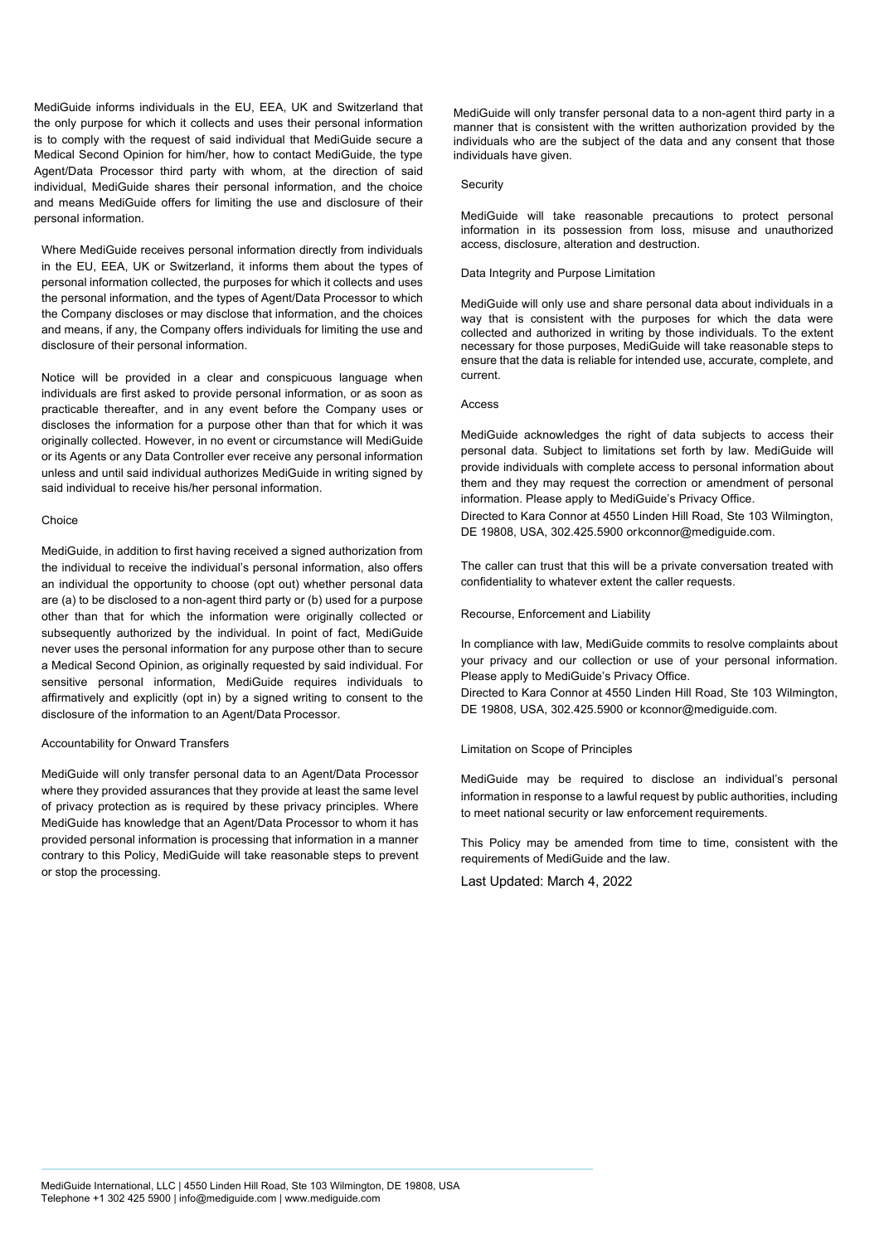MediGuide informs individuals in the EU, EEA, UK and Switzerland that the only purpose for which it collects and uses their personal information is to comply with the request of said individual that MediGuide secure a Medical Second Opinion for him/her, how to contact MediGuide, the type Agent/Data Processor third party with whom, at the direction of said individual, MediGuide shares their personal information, and the choice and means MediGuide offers for limiting the use and disclosure of their personal information.

Where MediGuide receives personal information directly from individuals in the EU, EEA, UK or Switzerland, it informs them about the types of personal information collected, the purposes for which it collects and uses the personal information, and the types of Agent/Data Processor to which the Company discloses or may disclose that information, and the choices and means, if any, the Company offers individuals for limiting the use and disclosure of their personal information.

Notice will be provided in a clear and conspicuous language when individuals are first asked to provide personal information, or as soon as practicable thereafter, and in any event before the Company uses or discloses the information for a purpose other than that for which it was originally collected. However, in no event or circumstance will MediGuide or its Agents or any Data Controller ever receive any personal information unless and until said individual authorizes MediGuide in writing signed by said individual to receive his/her personal information.

#### Choice

MediGuide, in addition to first having received a signed authorization from the individual to receive the individual's personal information, also offers an individual the opportunity to choose (opt out) whether personal data are (a) to be disclosed to a non-agent third party or (b) used for a purpose other than that for which the information were originally collected or subsequently authorized by the individual. In point of fact, MediGuide never uses the personal information for any purpose other than to secure a Medical Second Opinion, as originally requested by said individual. For sensitive personal information, MediGuide requires individuals to affirmatively and explicitly (opt in) by a signed writing to consent to the disclosure of the information to an Agent/Data Processor.

#### Accountability for Onward Transfers

MediGuide will only transfer personal data to an Agent/Data Processor where they provided assurances that they provide at least the same level of privacy protection as is required by these privacy principles. Where MediGuide has knowledge that an Agent/Data Processor to whom it has provided personal information is processing that information in a manner contrary to this Policy, MediGuide will take reasonable steps to prevent or stop the processing.

MediGuide will only transfer personal data to a non-agent third party in a manner that is consistent with the written authorization provided by the individuals who are the subject of the data and any consent that those individuals have given.

#### Security

MediGuide will take reasonable precautions to protect personal information in its possession from loss, misuse and unauthorized access, disclosure, alteration and destruction.

#### Data Integrity and Purpose Limitation

MediGuide will only use and share personal data about individuals in a way that is consistent with the purposes for which the data were collected and authorized in writing by those individuals. To the extent necessary for those purposes, MediGuide will take reasonable steps to ensure that the data is reliable for intended use, accurate, complete, and current.

#### **Access**

MediGuide acknowledges the right of data subjects to access their personal data. Subject to limitations set forth by law. MediGuide will provide individuals with complete access to personal information about them and they may request the correction or amendment of personal information. Please apply to MediGuide's Privacy Office.

Directed to Kara Connor at 4550 Linden Hill Road, Ste 103 Wilmington, DE 19808, USA, 302.425.5900 orkconnor@mediguide.com.

The caller can trust that this will be a private conversation treated with confidentiality to whatever extent the caller requests.

Recourse, Enforcement and Liability

In compliance with law, MediGuide commits to resolve complaints about your privacy and our collection or use of your personal information. Please apply to MediGuide's Privacy Office.

Directed to Kara Connor at 4550 Linden Hill Road, Ste 103 Wilmington, DE 19808, USA, 302.425.5900 or kconnor@mediguide.com.

#### Limitation on Scope of Principles

MediGuide may be required to disclose an individual's personal information in response to a lawful request by public authorities, including to meet national security or law enforcement requirements.

This Policy may be amended from time to time, consistent with the requirements of MediGuide and the law.

Last Updated: March 4, 2022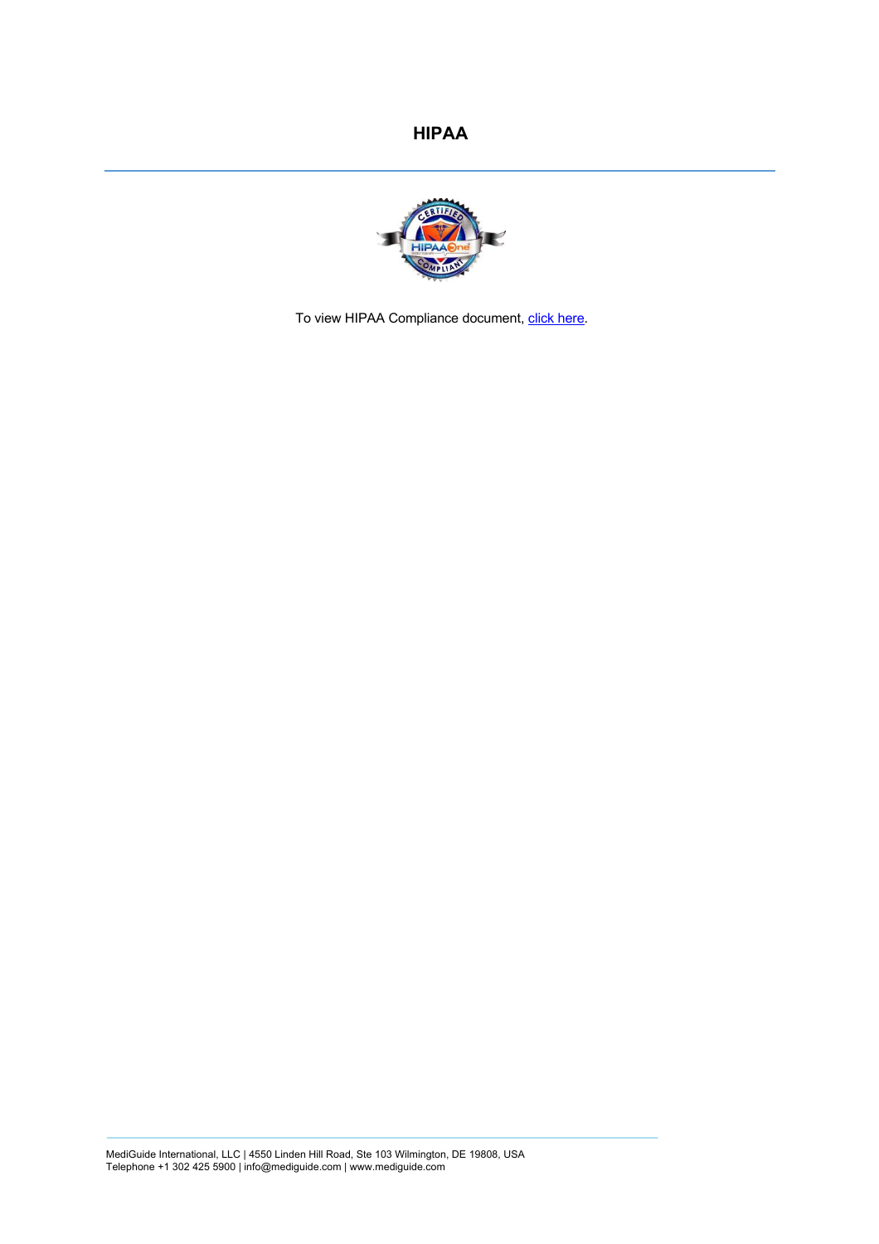

[To view HIPAA Compliance document, click here.](https://www.mediguide.com/pdf/MediGuide_HIPAA.pdf)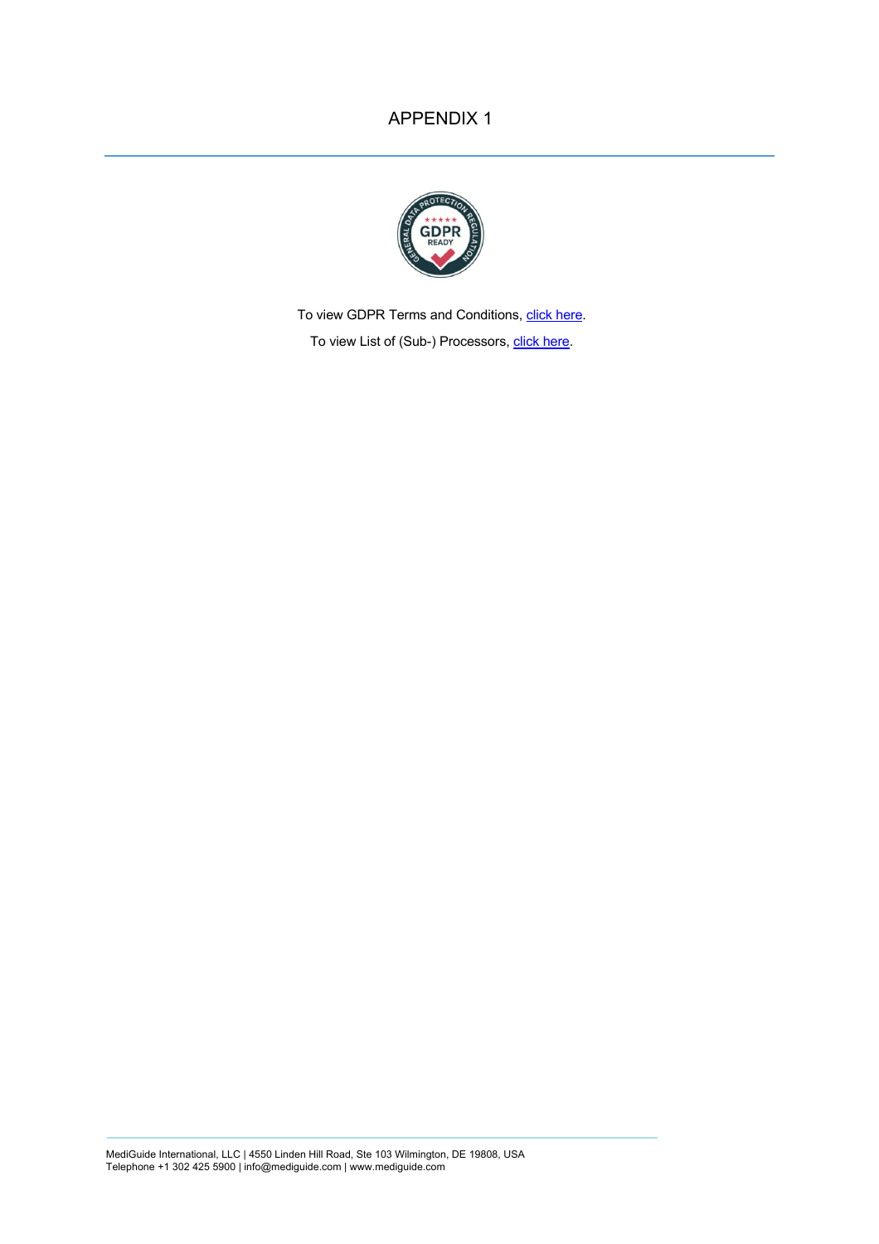## APPENDIX 1



[To view GDPR Terms and Conditions, click here.](https://www.mediguide.com/pdf/MediGuide_GDPR.pdf) [To view List of \(Sub-\) Processors, click here.](https://www.mediguide.com/pdf/MediGuide_SUB-PROCESSORS.pdf)

MediGuide International, LLC | 4550 Linden Hill Road, Ste 103 Wilmington, DE 19808, USA Telephone +1 302 425 5900 | info@mediguide.com | www.mediguide.com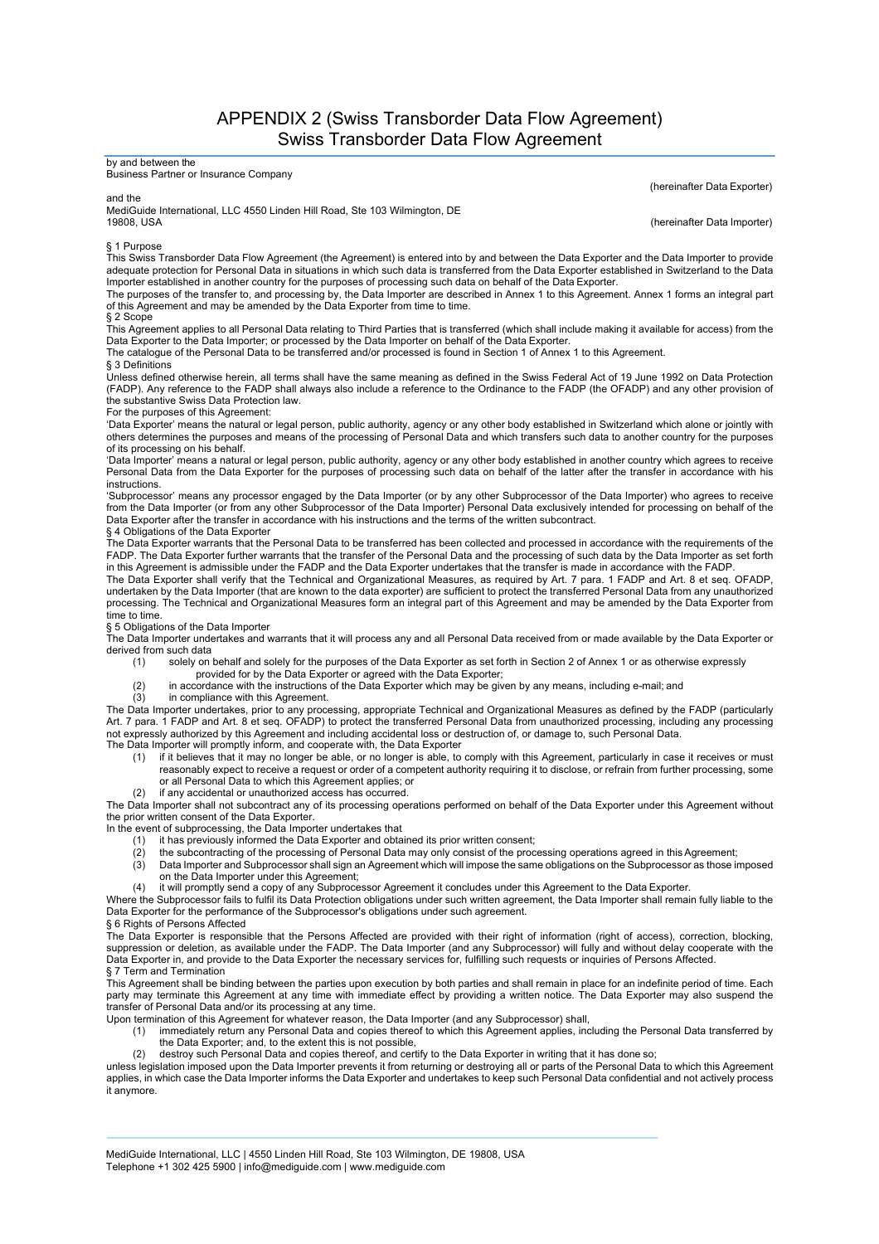APPENDIX 2 (Swiss Transborder Data Flow Agreement) Swiss Transborder Data Flow Agreement

## by and between the

Business Partner or Insurance Company

and the

MediGuide International, LLC 4550 Linden Hill Road, Ste 103 Wilmington, DE 19808, USA

(hereinafter Data Exporter)

(hereinafter Data Importer)

§ 1 Purpose

This Swiss Transborder Data Flow Agreement (the Agreement) is entered into by and between the Data Exporter and the Data Importer to provide<br>adequate protection for Personal Data in situations in which such data is transfe Importer established in another country for the purposes of processing such data on behalf of the Data Exporter.

The purposes of the transfer to, and processing by, the Data Importer are described in Annex 1 to this Agreement. Annex 1 forms an integral part<br>of this Agreement and may be amended by the Data Exporter from time to time.

## § 2 Scope

This Agreement applies to all Personal Data relating to Third Parties that is transferred (which shall include making it available for access) from the<br>Data Exporter to the Data Importer; or processed by the Data Importer

The catalogue of the Personal Data to be transferred and/or processed is found in Section 1 of Annex 1 to this Agreement.

§ 3 Definitions

Unless defined otherwise herein, all terms shall have the same meaning as defined in the Swiss Federal Act of 19 June 1992 on Data Protection (FADP). Any reference to the FADP shall always also include a reference to the Ordinance to the FADP (the OFADP) and any other provision of the substantive Swiss Data Protection law.

For the purposes of this Agreement:

'Data Exporter' means the natural or legal person, public authority, agency or any other body established in Switzerland which alone or jointly with others determines the purposes and means of the processing of Personal Data and which transfers such data to another country for the purposes of its processing on his behalf.

'Data Importer' means a natural or legal person, public authority, agency or any other body established in another country which agrees to receive Personal Data from the Data Exporter for the purposes of processing such data on behalf of the latter after the transfer in accordance with his instructions.

'Subprocessor' means any processor engaged by the Data Importer (or by any other Subprocessor of the Data Importer) who agrees to receive from the Data Importer (or from any other Subprocessor of the Data Importer) Personal Data exclusively intended for processing on behalf of the<br>Data Exporter after the transfer in accordance with his instructions and the t

§ 4 Obligations of the Data Exporter

The Data Exporter warrants that the Personal Data to be transferred has been collected and processed in accordance with the requirements of the FADP. The Data Exporter further warrants that the transfer of the Personal Data and the processing of such data by the Data Importer as set forth in this Agreement is admissible under the FADP and the Data Exporter undertakes that the transfer is made in accordance with the FADP.

The Data Exporter shall verify that the Technical and Organizational Measures, as required by Art. 7 para. 1 FADP and Art. 8 et seq. OFADP,<br>undertaken by the Data Importer (that are known to the data exporter) are sufficie processing. The Technical and Organizational Measures form an integral part of this Agreement and may be amended by the Data Exporter from time to time.

§ 5 Obligations of the Data Importer

The Data Importer undertakes and warrants that it will process any and all Personal Data received from or made available by the Data Exporter or derived from such data

- (1) solely on behalf and solely for the purposes of the Data Exporter as set forth in Section 2 of Annex 1 or as otherwise expressly
	-
- provided for by the Data Exporter or agreed with the Data Exporter;<br>(2) in accordance with the instructions of the Data Exporter which may be given by any means, including e-mail; and (2) in accordance with the instructions<br>(3) in compliance with this Agreement.
- 

The Data Importer undertakes, prior to any processing, appropriate Technical and Organizational Measures as defined by the FADP (particularly Art. 7 para. 1 FADP and Art. 8 et seq. OFADP) to protect the transferred Personal Data from unauthorized processing, including any processing not expressly authorized by this Agreement and including accidental loss or destruction of, or damage to, such Personal Data. The Data Importer will promptly inform, and cooperate with, the Data Exporter

- (1) if it believes that it may no longer be able, or no longer is able, to comply with this Agreement, particularly in case it receives or must reasonably expect to receive a request or order of a competent authority requiring it to disclose, or refrain from further processing, some
- or all Personal Data to which this Agreement applies; or (2) if any accidental or unauthorized access has occurred.

The Data Importer shall not subcontract any of its processing operations performed on behalf of the Data Exporter under this Agreement without the prior written consent of the Data Exporter.

In the event of subprocessing, the Data Importer undertakes that

- (1) it has previously informed the Data Exporter and obtained its prior written consent;
- (2) the subcontracting of the processing of Personal Data may only consist of the processing operations agreed in this Agreement;
- (3) Data Importer and Subprocessor shall sign an Agreement which will impose the same obligations on the Subprocessor as those imposed on the Data Importer under this Agreement;
- (4) it will promptly send a copy of any Subprocessor Agreement it concludes under this Agreement to the Data Exporter.

Where the Subprocessor fails to fulfil its Data Protection obligations under such written agreement, the Data Importer shall remain fully liable to the Data Exporter for the performance of the Subprocessor's obligations under such agreement.

§ 6 Rights of Persons Affected The Data Exporter is responsible that the Persons Affected are provided with their right of information (right of access), correction, blocking, suppression or deletion, as available under the FADP. The Data Importer (and any Subprocessor) will fully and without delay cooperate with the Data Exporter in, and provide to the Data Exporter the necessary services for, fulfilling such requests or inquiries of Persons Affected. § 7 Term and Termination

This Agreement shall be binding between the parties upon execution by both parties and shall remain in place for an indefinite period of time. Each party may terminate this Agreement at any time with immediate effect by providing a written notice. The Data Exporter may also suspend the transfer of Personal Data and/or its processing at any time.

Upon termination of this Agreement for whatever reason, the Data Importer (and any Subprocessor) shall,

- (1) immediately return any Personal Data and copies thereof to which this Agreement applies, including the Personal Data transferred by
	- the Data Exporter; and, to the extent this is not possible, (2) destroy such Personal Data and copies thereof, and certify to the Data Exporter in writing that it has done so;

unless legislation imposed upon the Data Importer prevents it from returning or destroying all or parts of the Personal Data to which this Agreement applies, in which case the Data Importer informs the Data Exporter and undertakes to keep such Personal Data confidential and not actively process it anymore.

MediGuide International, LLC | 4550 Linden Hill Road, Ste 103 Wilmington, DE 19808, USA Telephone +1 302 425 5900 | info@mediguide.com | www.mediguide.com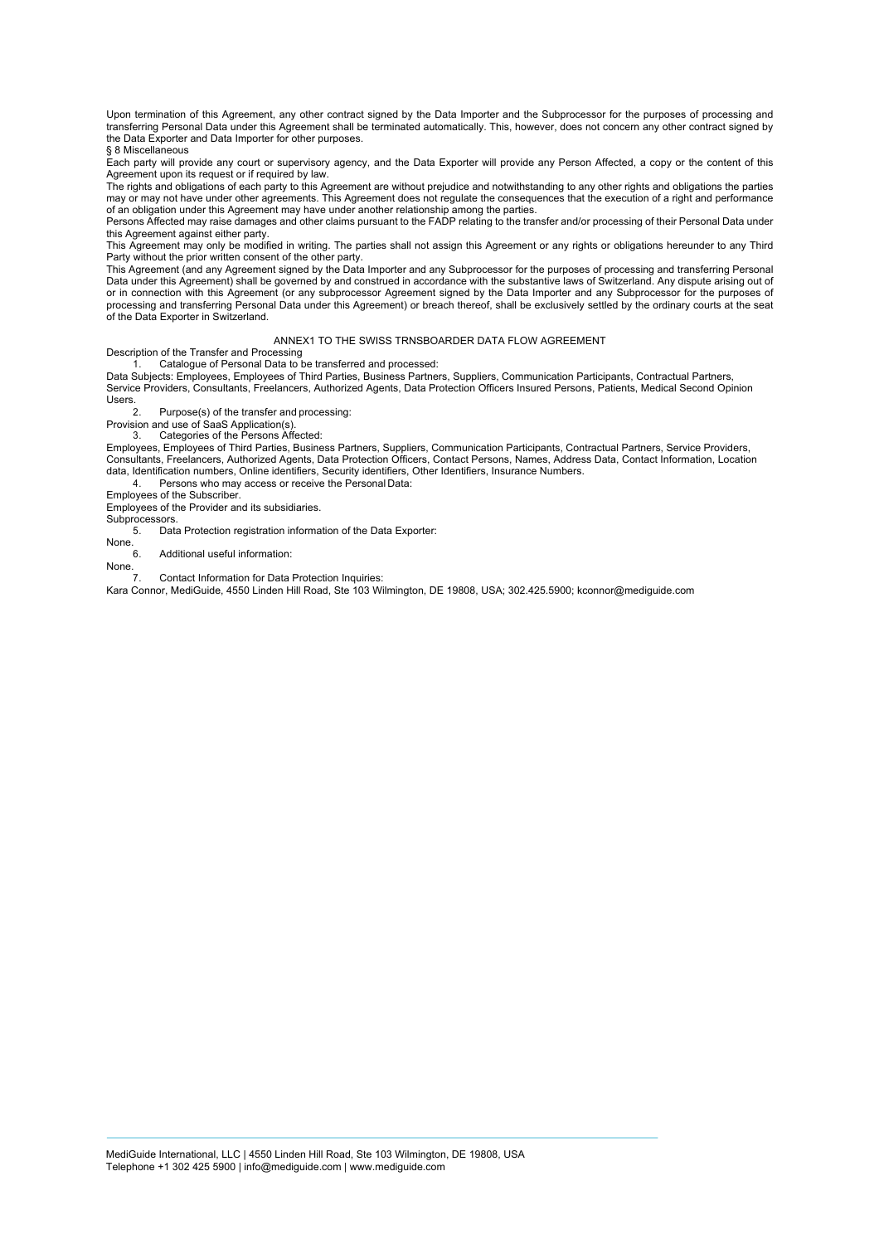Upon termination of this Agreement, any other contract signed by the Data Importer and the Subprocessor for the purposes of processing and transferring Personal Data under this Agreement shall be terminated automatically. This, however, does not concern any other contract signed by the Data Exporter and Data Importer for other purposes. § 8 Miscellaneous

Each party will provide any court or supervisory agency, and the Data Exporter will provide any Person Affected, a copy or the content of this Agreement upon its request or if required by law.

The rights and obligations of each party to this Agreement are without prejudice and notwithstanding to any other rights and obligations the parties may or may not have under other agreements. This Agreement does not regulate the consequences that the execution of a right and performance of an obligation under this Agreement may have under another relationship among the parties.

Persons Affected may raise damages and other claims pursuant to the FADP relating to the transfer and/or processing of their Personal Data under this Agreement against either party.

This Agreement may only be modified in writing. The parties shall not assign this Agreement or any rights or obligations hereunder to any Third Party without the prior written consent of the other party.

This Agreement (and any Agreement signed by the Data Importer and any Subprocessor for the purposes of processing and transferring Personal Data under this Agreement) shall be governed by and construed in accordance with the substantive laws of Switzerland. Any dispute arising out of or in connection with this Agreement (or any subprocessor Agreement signed by the Data Importer and any Subprocessor for the purposes of processing and transferring Personal Data under this Agreement) or breach thereof, shall be exclusively settled by the ordinary courts at the seat of the Data Exporter in Switzerland.

#### ANNEX1 TO THE SWISS TRNSBOARDER DATA FLOW AGREEMENT

Description of the Transfer and Processing

Catalogue of Personal Data to be transferred and processed:

Data Subjects: Employees, Employees of Third Parties, Business Partners, Suppliers, Communication Participants, Contractual Partners, Service Providers, Consultants, Freelancers, Authorized Agents, Data Protection Officers Insured Persons, Patients, Medical Second Opinion Users.

Purpose(s) of the transfer and processing:

Provision and use of SaaS Application(s). 3. Categories of the Persons Affected:

Employees, Employees of Third Parties, Business Partners, Suppliers, Communication Participants, Contractual Partners, Service Providers, Consultants, Freelancers, Authorized Agents, Data Protection Officers, Contact Persons, Names, Address Data, Contact Information, Location data, Identification numbers, Online identifiers, Security identifiers, Other Identifiers, Insurance Numbers.

4. Persons who may access or receive the Personal Data: Employees of the Subscriber.

Employees of the Provider and its subsidiaries.

Subprocessors.

5. Data Protection registration information of the Data Exporter:

None.<br>6. Additional useful information:

None.<br>7

7. Contact Information for Data Protection Inquiries:

Kara Connor, MediGuide, 4550 Linden Hill Road, Ste 103 Wilmington, DE 19808, USA; 302.425.5900; kconnor@mediguide.com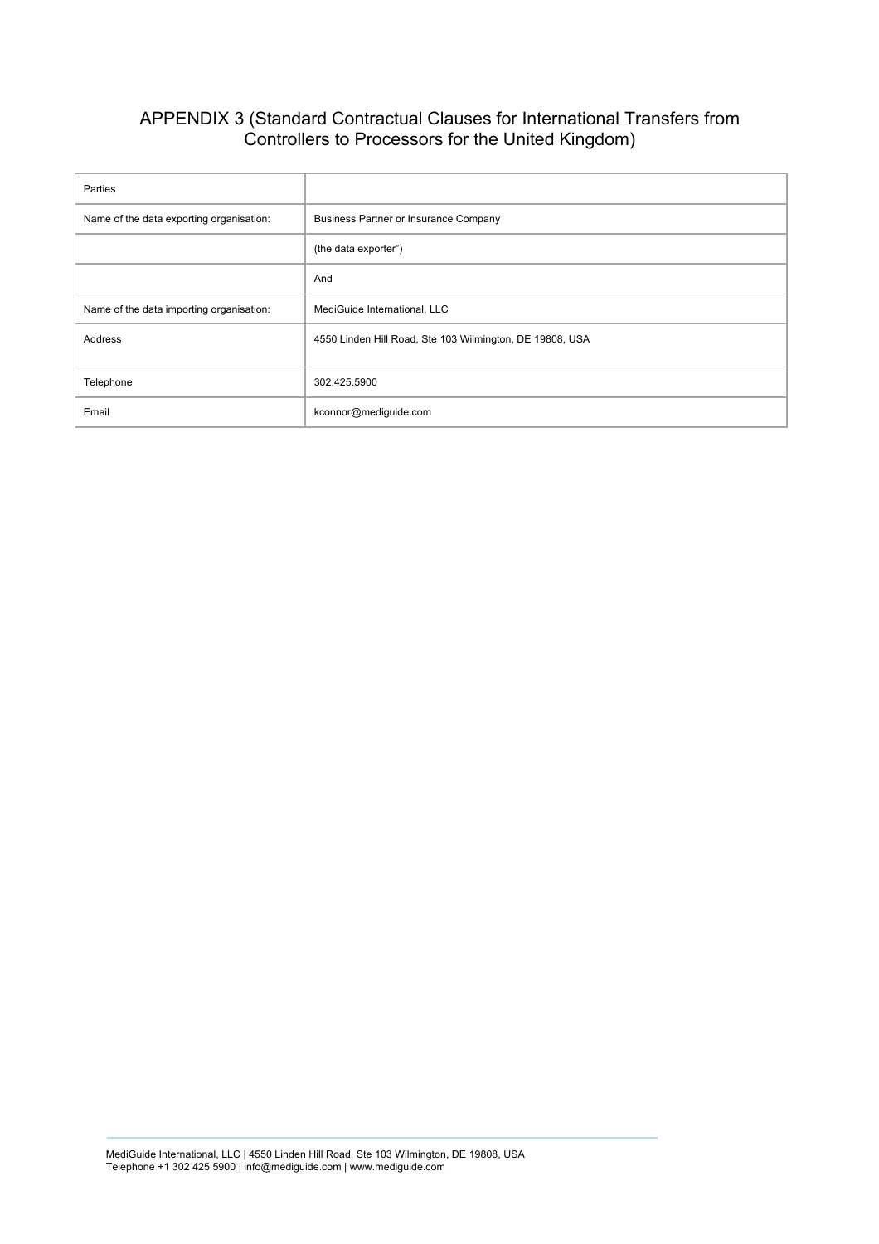# APPENDIX 3 (Standard Contractual Clauses for International Transfers from Controllers to Processors for the United Kingdom)

| Parties                                  |                                                          |
|------------------------------------------|----------------------------------------------------------|
| Name of the data exporting organisation: | <b>Business Partner or Insurance Company</b>             |
|                                          | (the data exporter")                                     |
|                                          | And                                                      |
| Name of the data importing organisation: | MediGuide International, LLC                             |
| Address                                  | 4550 Linden Hill Road, Ste 103 Wilmington, DE 19808, USA |
| Telephone                                | 302.425.5900                                             |
| Email                                    | kconnor@mediguide.com                                    |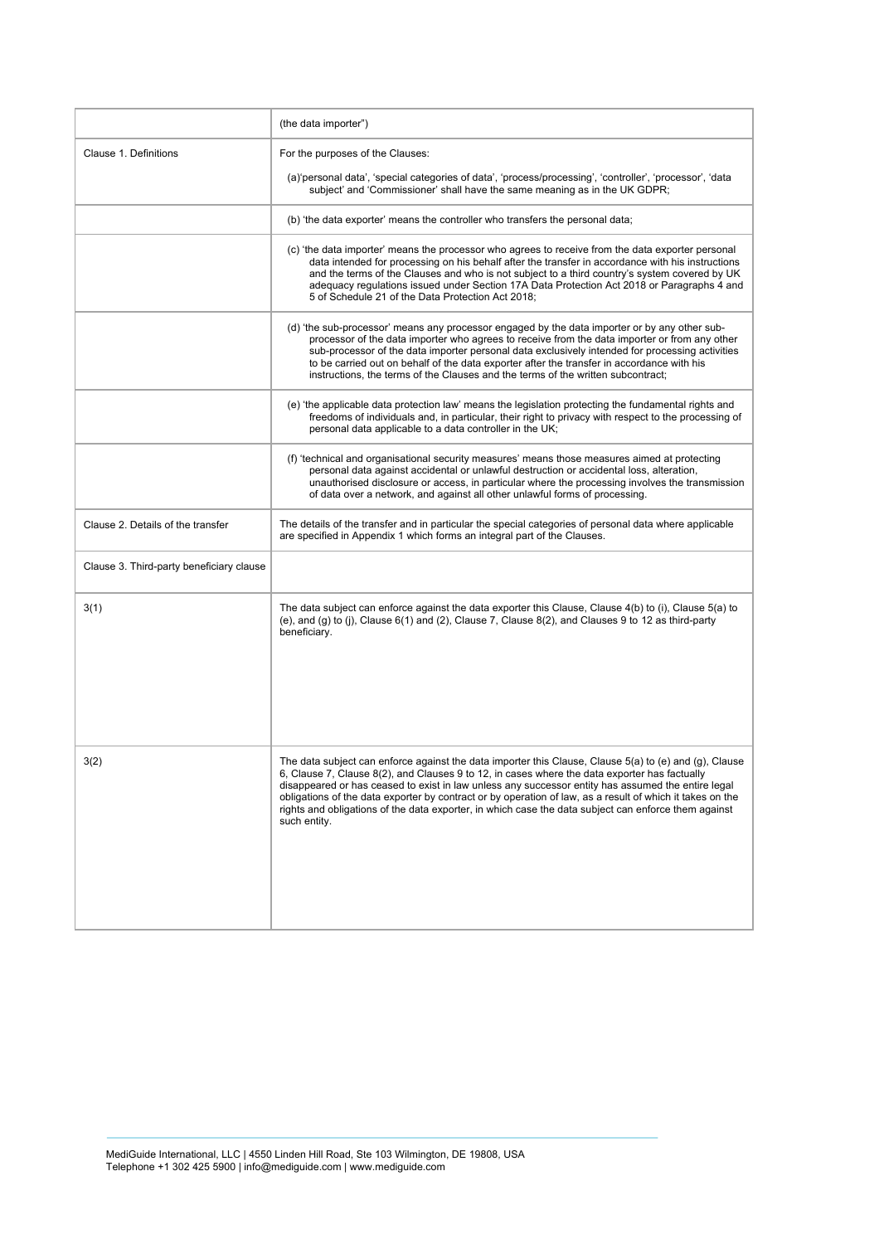|                                          | (the data importer")                                                                                                                                                                                                                                                                                                                                                                                                                                                                                                                               |
|------------------------------------------|----------------------------------------------------------------------------------------------------------------------------------------------------------------------------------------------------------------------------------------------------------------------------------------------------------------------------------------------------------------------------------------------------------------------------------------------------------------------------------------------------------------------------------------------------|
| Clause 1. Definitions                    | For the purposes of the Clauses:                                                                                                                                                                                                                                                                                                                                                                                                                                                                                                                   |
|                                          | (a) personal data', 'special categories of data', 'process/processing', 'controller', 'processor', 'data<br>subject' and 'Commissioner' shall have the same meaning as in the UK GDPR;                                                                                                                                                                                                                                                                                                                                                             |
|                                          | (b) 'the data exporter' means the controller who transfers the personal data;                                                                                                                                                                                                                                                                                                                                                                                                                                                                      |
|                                          | (c) 'the data importer' means the processor who agrees to receive from the data exporter personal<br>data intended for processing on his behalf after the transfer in accordance with his instructions<br>and the terms of the Clauses and who is not subject to a third country's system covered by UK<br>adequacy regulations issued under Section 17A Data Protection Act 2018 or Paragraphs 4 and<br>5 of Schedule 21 of the Data Protection Act 2018;                                                                                         |
|                                          | (d) 'the sub-processor' means any processor engaged by the data importer or by any other sub-<br>processor of the data importer who agrees to receive from the data importer or from any other<br>sub-processor of the data importer personal data exclusively intended for processing activities<br>to be carried out on behalf of the data exporter after the transfer in accordance with his<br>instructions, the terms of the Clauses and the terms of the written subcontract;                                                                |
|                                          | (e) 'the applicable data protection law' means the legislation protecting the fundamental rights and<br>freedoms of individuals and, in particular, their right to privacy with respect to the processing of<br>personal data applicable to a data controller in the UK;                                                                                                                                                                                                                                                                           |
|                                          | (f) 'technical and organisational security measures' means those measures aimed at protecting<br>personal data against accidental or unlawful destruction or accidental loss, alteration,<br>unauthorised disclosure or access, in particular where the processing involves the transmission<br>of data over a network, and against all other unlawful forms of processing.                                                                                                                                                                        |
| Clause 2. Details of the transfer        | The details of the transfer and in particular the special categories of personal data where applicable<br>are specified in Appendix 1 which forms an integral part of the Clauses.                                                                                                                                                                                                                                                                                                                                                                 |
| Clause 3. Third-party beneficiary clause |                                                                                                                                                                                                                                                                                                                                                                                                                                                                                                                                                    |
| 3(1)                                     | The data subject can enforce against the data exporter this Clause, Clause 4(b) to (i), Clause 5(a) to<br>(e), and (g) to (j), Clause $6(1)$ and (2), Clause 7, Clause 8(2), and Clauses 9 to 12 as third-party<br>beneficiary.                                                                                                                                                                                                                                                                                                                    |
| 3(2)                                     | The data subject can enforce against the data importer this Clause, Clause 5(a) to (e) and (g), Clause<br>6, Clause 7, Clause 8(2), and Clauses 9 to 12, in cases where the data exporter has factually<br>disappeared or has ceased to exist in law unless any successor entity has assumed the entire legal<br>obligations of the data exporter by contract or by operation of law, as a result of which it takes on the<br>rights and obligations of the data exporter, in which case the data subject can enforce them against<br>such entity. |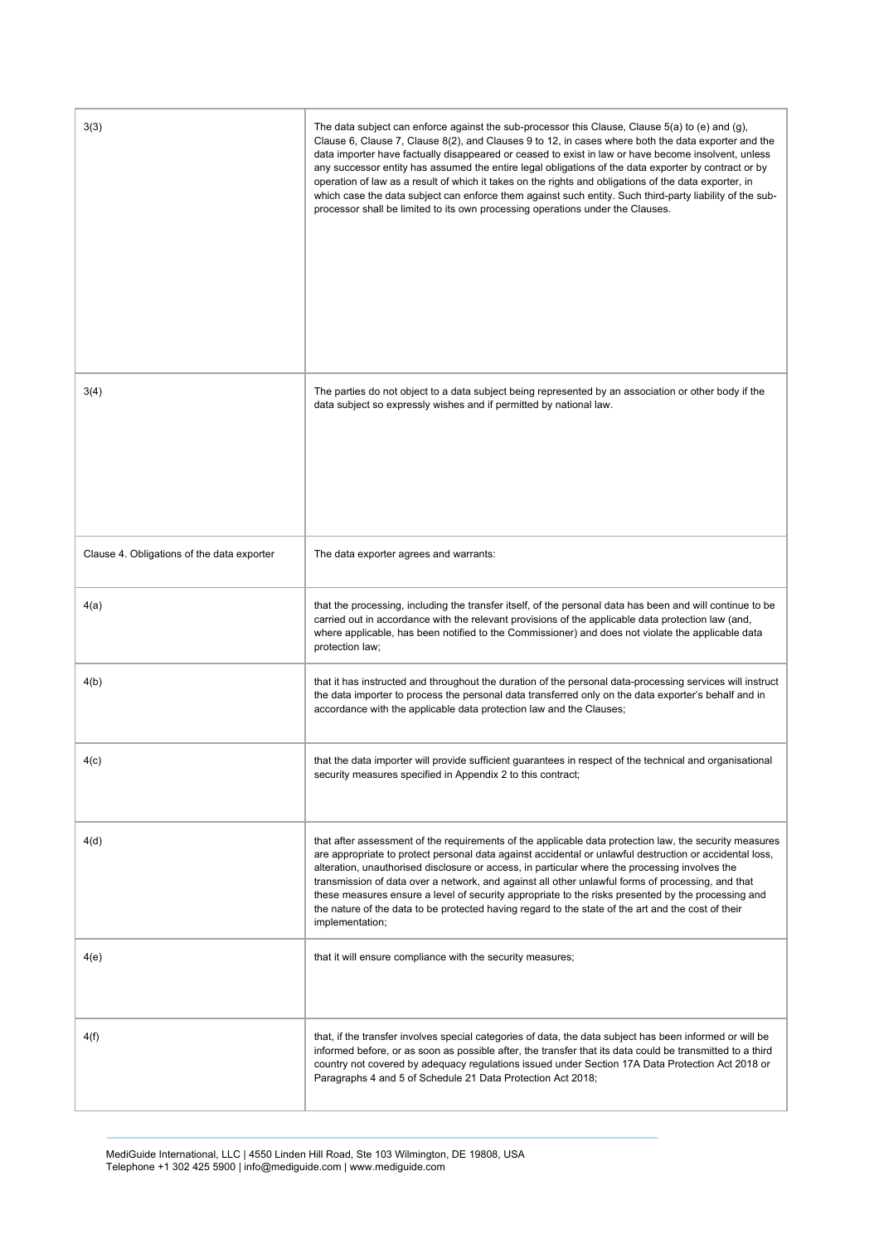| 3(3)                                       | The data subject can enforce against the sub-processor this Clause, Clause $5(a)$ to (e) and (g),<br>Clause 6, Clause 7, Clause 8(2), and Clauses 9 to 12, in cases where both the data exporter and the<br>data importer have factually disappeared or ceased to exist in law or have become insolvent, unless<br>any successor entity has assumed the entire legal obligations of the data exporter by contract or by<br>operation of law as a result of which it takes on the rights and obligations of the data exporter, in<br>which case the data subject can enforce them against such entity. Such third-party liability of the sub-<br>processor shall be limited to its own processing operations under the Clauses. |
|--------------------------------------------|--------------------------------------------------------------------------------------------------------------------------------------------------------------------------------------------------------------------------------------------------------------------------------------------------------------------------------------------------------------------------------------------------------------------------------------------------------------------------------------------------------------------------------------------------------------------------------------------------------------------------------------------------------------------------------------------------------------------------------|
| 3(4)                                       | The parties do not object to a data subject being represented by an association or other body if the<br>data subject so expressly wishes and if permitted by national law.                                                                                                                                                                                                                                                                                                                                                                                                                                                                                                                                                     |
| Clause 4. Obligations of the data exporter | The data exporter agrees and warrants:                                                                                                                                                                                                                                                                                                                                                                                                                                                                                                                                                                                                                                                                                         |
| 4(a)                                       | that the processing, including the transfer itself, of the personal data has been and will continue to be<br>carried out in accordance with the relevant provisions of the applicable data protection law (and,<br>where applicable, has been notified to the Commissioner) and does not violate the applicable data<br>protection law;                                                                                                                                                                                                                                                                                                                                                                                        |
| 4(b)                                       | that it has instructed and throughout the duration of the personal data-processing services will instruct<br>the data importer to process the personal data transferred only on the data exporter's behalf and in<br>accordance with the applicable data protection law and the Clauses;                                                                                                                                                                                                                                                                                                                                                                                                                                       |
| 4(c)                                       | that the data importer will provide sufficient guarantees in respect of the technical and organisational<br>security measures specified in Appendix 2 to this contract;                                                                                                                                                                                                                                                                                                                                                                                                                                                                                                                                                        |
| 4(d)                                       | that after assessment of the requirements of the applicable data protection law, the security measures<br>are appropriate to protect personal data against accidental or unlawful destruction or accidental loss,<br>alteration, unauthorised disclosure or access, in particular where the processing involves the<br>transmission of data over a network, and against all other unlawful forms of processing, and that<br>these measures ensure a level of security appropriate to the risks presented by the processing and<br>the nature of the data to be protected having regard to the state of the art and the cost of their<br>implementation;                                                                        |
| 4(e)                                       | that it will ensure compliance with the security measures;                                                                                                                                                                                                                                                                                                                                                                                                                                                                                                                                                                                                                                                                     |
| 4(f)                                       | that, if the transfer involves special categories of data, the data subject has been informed or will be<br>informed before, or as soon as possible after, the transfer that its data could be transmitted to a third<br>country not covered by adequacy regulations issued under Section 17A Data Protection Act 2018 or<br>Paragraphs 4 and 5 of Schedule 21 Data Protection Act 2018;                                                                                                                                                                                                                                                                                                                                       |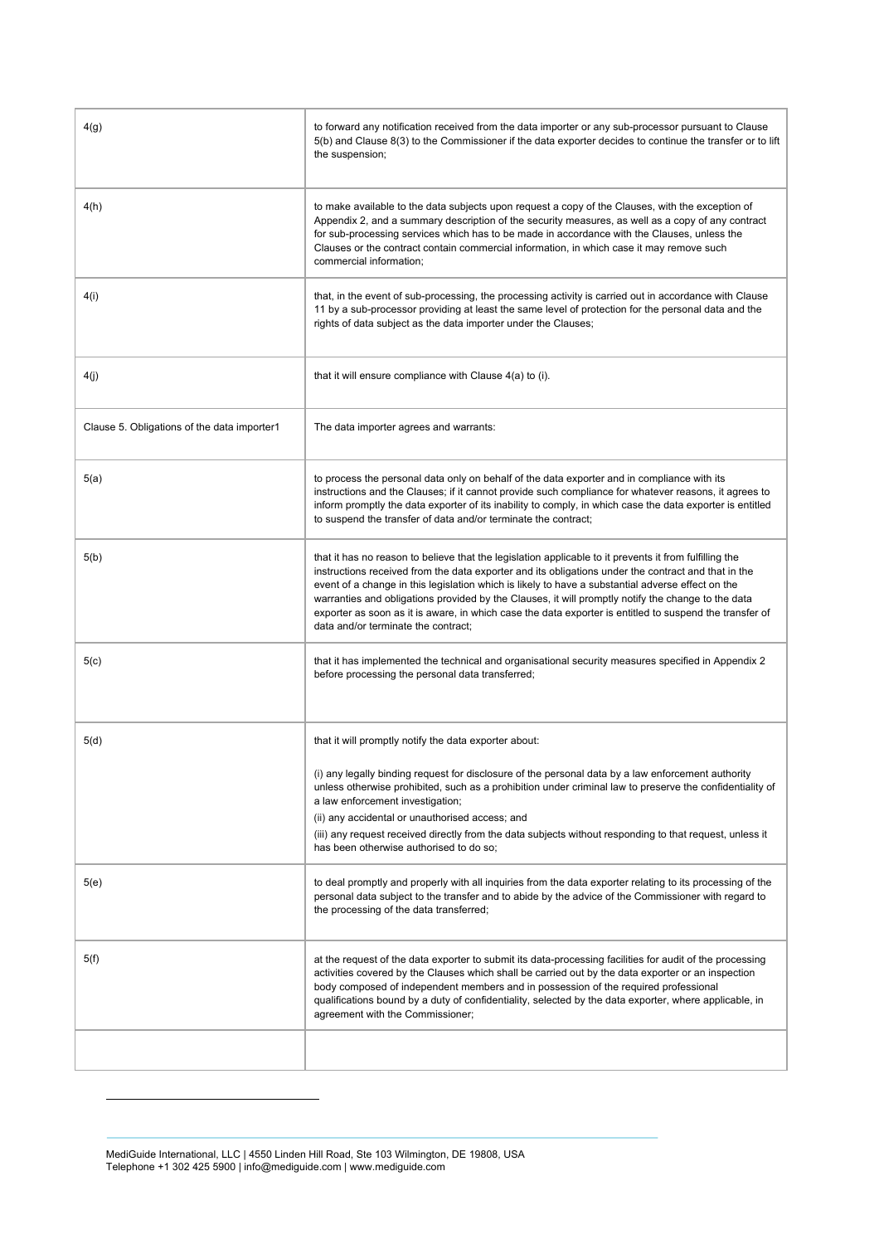| 4(g)                                        | to forward any notification received from the data importer or any sub-processor pursuant to Clause<br>5(b) and Clause 8(3) to the Commissioner if the data exporter decides to continue the transfer or to lift<br>the suspension;                                                                                                                                                                                                                                                                                                                                        |
|---------------------------------------------|----------------------------------------------------------------------------------------------------------------------------------------------------------------------------------------------------------------------------------------------------------------------------------------------------------------------------------------------------------------------------------------------------------------------------------------------------------------------------------------------------------------------------------------------------------------------------|
| 4(h)                                        | to make available to the data subjects upon request a copy of the Clauses, with the exception of<br>Appendix 2, and a summary description of the security measures, as well as a copy of any contract<br>for sub-processing services which has to be made in accordance with the Clauses, unless the<br>Clauses or the contract contain commercial information, in which case it may remove such<br>commercial information;                                                                                                                                                |
| 4(i)                                        | that, in the event of sub-processing, the processing activity is carried out in accordance with Clause<br>11 by a sub-processor providing at least the same level of protection for the personal data and the<br>rights of data subject as the data importer under the Clauses;                                                                                                                                                                                                                                                                                            |
| 4(j)                                        | that it will ensure compliance with Clause 4(a) to (i).                                                                                                                                                                                                                                                                                                                                                                                                                                                                                                                    |
| Clause 5. Obligations of the data importer1 | The data importer agrees and warrants:                                                                                                                                                                                                                                                                                                                                                                                                                                                                                                                                     |
| 5(a)                                        | to process the personal data only on behalf of the data exporter and in compliance with its<br>instructions and the Clauses; if it cannot provide such compliance for whatever reasons, it agrees to<br>inform promptly the data exporter of its inability to comply, in which case the data exporter is entitled<br>to suspend the transfer of data and/or terminate the contract;                                                                                                                                                                                        |
| 5(b)                                        | that it has no reason to believe that the legislation applicable to it prevents it from fulfilling the<br>instructions received from the data exporter and its obligations under the contract and that in the<br>event of a change in this legislation which is likely to have a substantial adverse effect on the<br>warranties and obligations provided by the Clauses, it will promptly notify the change to the data<br>exporter as soon as it is aware, in which case the data exporter is entitled to suspend the transfer of<br>data and/or terminate the contract; |
| 5(c)                                        | that it has implemented the technical and organisational security measures specified in Appendix 2<br>before processing the personal data transferred;                                                                                                                                                                                                                                                                                                                                                                                                                     |
| 5(d)                                        | that it will promptly notify the data exporter about:                                                                                                                                                                                                                                                                                                                                                                                                                                                                                                                      |
|                                             | (i) any legally binding request for disclosure of the personal data by a law enforcement authority<br>unless otherwise prohibited, such as a prohibition under criminal law to preserve the confidentiality of<br>a law enforcement investigation;<br>(ii) any accidental or unauthorised access; and<br>(iii) any request received directly from the data subjects without responding to that request, unless it<br>has been otherwise authorised to do so;                                                                                                               |
| 5(e)                                        | to deal promptly and properly with all inquiries from the data exporter relating to its processing of the<br>personal data subject to the transfer and to abide by the advice of the Commissioner with regard to<br>the processing of the data transferred;                                                                                                                                                                                                                                                                                                                |
| 5(f)                                        | at the request of the data exporter to submit its data-processing facilities for audit of the processing<br>activities covered by the Clauses which shall be carried out by the data exporter or an inspection<br>body composed of independent members and in possession of the required professional<br>qualifications bound by a duty of confidentiality, selected by the data exporter, where applicable, in<br>agreement with the Commissioner;                                                                                                                        |
|                                             |                                                                                                                                                                                                                                                                                                                                                                                                                                                                                                                                                                            |

MediGuide International, LLC | 4550 Linden Hill Road, Ste 103 Wilmington, DE 19808, USA Telephone +1 302 425 5900 | info@mediguide.com | www.mediguide.com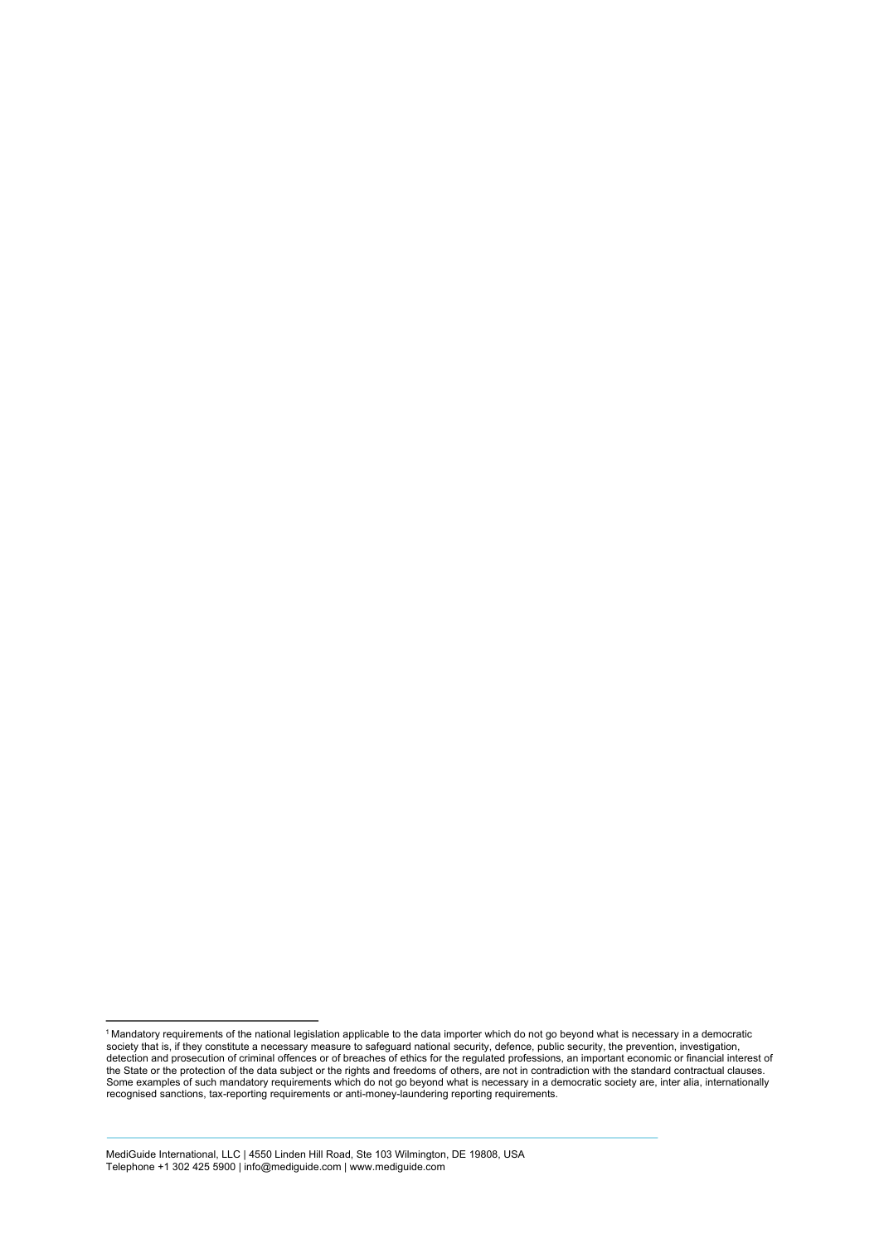<sup>1</sup> Mandatory requirements of the national legislation applicable to the data importer which do not go beyond what is necessary in a democratic society that is, if they constitute a necessary measure to safeguard national security, defence, public security, the prevention, investigation,<br>detection and prosecution of criminal offences or of breaches of ethics for t the State or the protection of the data subject or the rights and freedoms of others, are not in contradiction with the standard contractual clauses.<br>Some examples of such mandatory requirements which do not go beyond what recognised sanctions, tax-reporting requirements or anti-money-laundering reporting requirements.

MediGuide International, LLC | 4550 Linden Hill Road, Ste 103 Wilmington, DE 19808, USA Telephone +1 302 425 5900 | info@mediguide.com | www.mediguide.com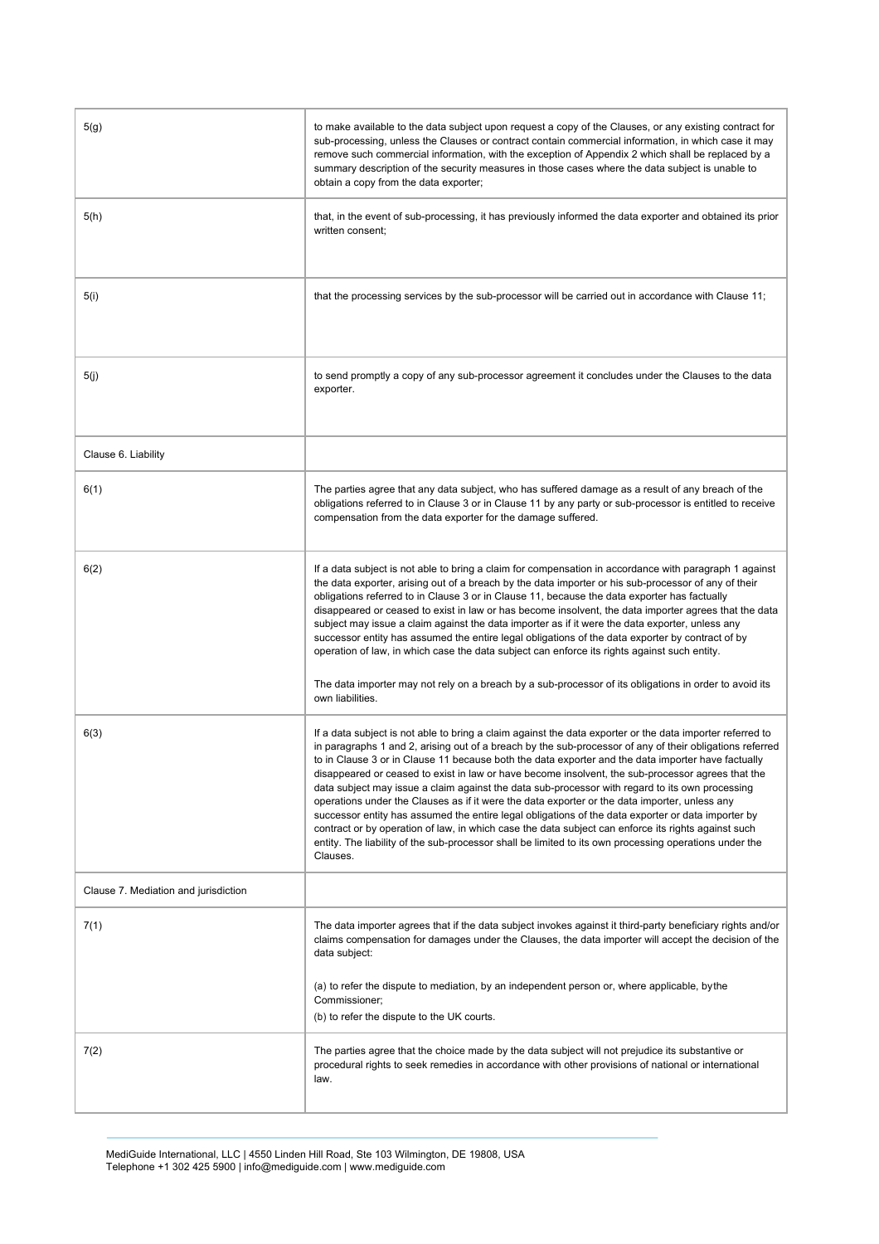| 5(g)                                 | to make available to the data subject upon request a copy of the Clauses, or any existing contract for<br>sub-processing, unless the Clauses or contract contain commercial information, in which case it may<br>remove such commercial information, with the exception of Appendix 2 which shall be replaced by a<br>summary description of the security measures in those cases where the data subject is unable to<br>obtain a copy from the data exporter;                                                                                                                                                                                                                                                                                                                                                                                                                                                                                                          |
|--------------------------------------|-------------------------------------------------------------------------------------------------------------------------------------------------------------------------------------------------------------------------------------------------------------------------------------------------------------------------------------------------------------------------------------------------------------------------------------------------------------------------------------------------------------------------------------------------------------------------------------------------------------------------------------------------------------------------------------------------------------------------------------------------------------------------------------------------------------------------------------------------------------------------------------------------------------------------------------------------------------------------|
| 5(h)                                 | that, in the event of sub-processing, it has previously informed the data exporter and obtained its prior<br>written consent;                                                                                                                                                                                                                                                                                                                                                                                                                                                                                                                                                                                                                                                                                                                                                                                                                                           |
| 5(i)                                 | that the processing services by the sub-processor will be carried out in accordance with Clause 11;                                                                                                                                                                                                                                                                                                                                                                                                                                                                                                                                                                                                                                                                                                                                                                                                                                                                     |
| 5(j)                                 | to send promptly a copy of any sub-processor agreement it concludes under the Clauses to the data<br>exporter.                                                                                                                                                                                                                                                                                                                                                                                                                                                                                                                                                                                                                                                                                                                                                                                                                                                          |
| Clause 6. Liability                  |                                                                                                                                                                                                                                                                                                                                                                                                                                                                                                                                                                                                                                                                                                                                                                                                                                                                                                                                                                         |
| 6(1)                                 | The parties agree that any data subject, who has suffered damage as a result of any breach of the<br>obligations referred to in Clause 3 or in Clause 11 by any party or sub-processor is entitled to receive<br>compensation from the data exporter for the damage suffered.                                                                                                                                                                                                                                                                                                                                                                                                                                                                                                                                                                                                                                                                                           |
| 6(2)                                 | If a data subject is not able to bring a claim for compensation in accordance with paragraph 1 against<br>the data exporter, arising out of a breach by the data importer or his sub-processor of any of their<br>obligations referred to in Clause 3 or in Clause 11, because the data exporter has factually<br>disappeared or ceased to exist in law or has become insolvent, the data importer agrees that the data<br>subject may issue a claim against the data importer as if it were the data exporter, unless any<br>successor entity has assumed the entire legal obligations of the data exporter by contract of by<br>operation of law, in which case the data subject can enforce its rights against such entity.<br>The data importer may not rely on a breach by a sub-processor of its obligations in order to avoid its<br>own liabilities.                                                                                                            |
| 6(3)                                 | If a data subject is not able to bring a claim against the data exporter or the data importer referred to<br>in paragraphs 1 and 2, arising out of a breach by the sub-processor of any of their obligations referred<br>to in Clause 3 or in Clause 11 because both the data exporter and the data importer have factually<br>disappeared or ceased to exist in law or have become insolvent, the sub-processor agrees that the<br>data subject may issue a claim against the data sub-processor with regard to its own processing<br>operations under the Clauses as if it were the data exporter or the data importer, unless any<br>successor entity has assumed the entire legal obligations of the data exporter or data importer by<br>contract or by operation of law, in which case the data subject can enforce its rights against such<br>entity. The liability of the sub-processor shall be limited to its own processing operations under the<br>Clauses. |
| Clause 7. Mediation and jurisdiction |                                                                                                                                                                                                                                                                                                                                                                                                                                                                                                                                                                                                                                                                                                                                                                                                                                                                                                                                                                         |
| 7(1)                                 | The data importer agrees that if the data subject invokes against it third-party beneficiary rights and/or<br>claims compensation for damages under the Clauses, the data importer will accept the decision of the<br>data subject:                                                                                                                                                                                                                                                                                                                                                                                                                                                                                                                                                                                                                                                                                                                                     |
|                                      | (a) to refer the dispute to mediation, by an independent person or, where applicable, by the<br>Commissioner;<br>(b) to refer the dispute to the UK courts.                                                                                                                                                                                                                                                                                                                                                                                                                                                                                                                                                                                                                                                                                                                                                                                                             |
| 7(2)                                 | The parties agree that the choice made by the data subject will not prejudice its substantive or<br>procedural rights to seek remedies in accordance with other provisions of national or international<br>law.                                                                                                                                                                                                                                                                                                                                                                                                                                                                                                                                                                                                                                                                                                                                                         |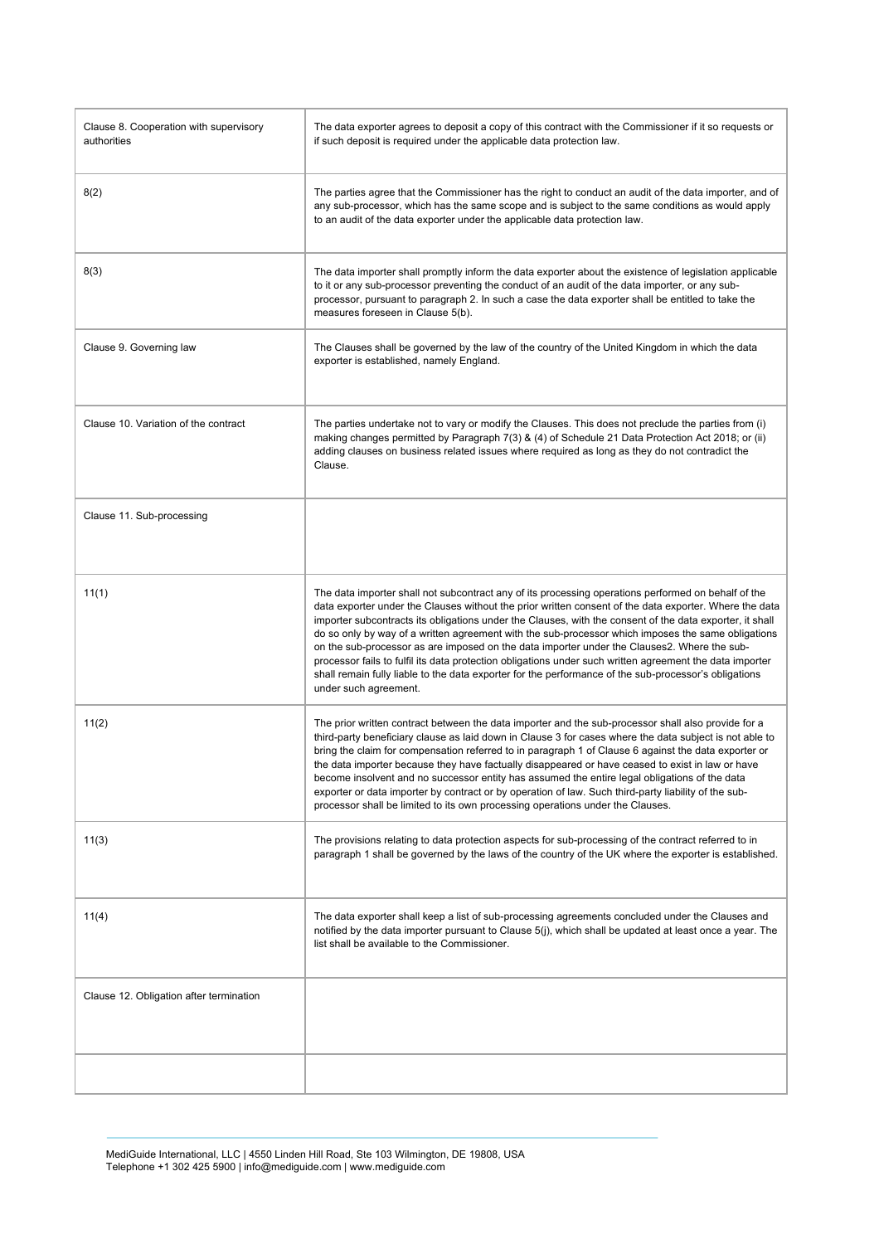| Clause 8. Cooperation with supervisory<br>authorities | The data exporter agrees to deposit a copy of this contract with the Commissioner if it so requests or<br>if such deposit is required under the applicable data protection law.                                                                                                                                                                                                                                                                                                                                                                                                                                                                                                                                                                                              |
|-------------------------------------------------------|------------------------------------------------------------------------------------------------------------------------------------------------------------------------------------------------------------------------------------------------------------------------------------------------------------------------------------------------------------------------------------------------------------------------------------------------------------------------------------------------------------------------------------------------------------------------------------------------------------------------------------------------------------------------------------------------------------------------------------------------------------------------------|
| 8(2)                                                  | The parties agree that the Commissioner has the right to conduct an audit of the data importer, and of<br>any sub-processor, which has the same scope and is subject to the same conditions as would apply<br>to an audit of the data exporter under the applicable data protection law.                                                                                                                                                                                                                                                                                                                                                                                                                                                                                     |
| 8(3)                                                  | The data importer shall promptly inform the data exporter about the existence of legislation applicable<br>to it or any sub-processor preventing the conduct of an audit of the data importer, or any sub-<br>processor, pursuant to paragraph 2. In such a case the data exporter shall be entitled to take the<br>measures foreseen in Clause 5(b).                                                                                                                                                                                                                                                                                                                                                                                                                        |
| Clause 9. Governing law                               | The Clauses shall be governed by the law of the country of the United Kingdom in which the data<br>exporter is established, namely England.                                                                                                                                                                                                                                                                                                                                                                                                                                                                                                                                                                                                                                  |
| Clause 10. Variation of the contract                  | The parties undertake not to vary or modify the Clauses. This does not preclude the parties from (i)<br>making changes permitted by Paragraph 7(3) & (4) of Schedule 21 Data Protection Act 2018; or (ii)<br>adding clauses on business related issues where required as long as they do not contradict the<br>Clause.                                                                                                                                                                                                                                                                                                                                                                                                                                                       |
| Clause 11. Sub-processing                             |                                                                                                                                                                                                                                                                                                                                                                                                                                                                                                                                                                                                                                                                                                                                                                              |
| 11(1)                                                 | The data importer shall not subcontract any of its processing operations performed on behalf of the<br>data exporter under the Clauses without the prior written consent of the data exporter. Where the data<br>importer subcontracts its obligations under the Clauses, with the consent of the data exporter, it shall<br>do so only by way of a written agreement with the sub-processor which imposes the same obligations<br>on the sub-processor as are imposed on the data importer under the Clauses2. Where the sub-<br>processor fails to fulfil its data protection obligations under such written agreement the data importer<br>shall remain fully liable to the data exporter for the performance of the sub-processor's obligations<br>under such agreement. |
| 11(2)                                                 | The prior written contract between the data importer and the sub-processor shall also provide for a<br>third-party beneficiary clause as laid down in Clause 3 for cases where the data subject is not able to<br>bring the claim for compensation referred to in paragraph 1 of Clause 6 against the data exporter or<br>the data importer because they have factually disappeared or have ceased to exist in law or have<br>become insolvent and no successor entity has assumed the entire legal obligations of the data<br>exporter or data importer by contract or by operation of law. Such third-party liability of the sub-<br>processor shall be limited to its own processing operations under the Clauses.                                                        |
| 11(3)                                                 | The provisions relating to data protection aspects for sub-processing of the contract referred to in<br>paragraph 1 shall be governed by the laws of the country of the UK where the exporter is established.                                                                                                                                                                                                                                                                                                                                                                                                                                                                                                                                                                |
| 11(4)                                                 | The data exporter shall keep a list of sub-processing agreements concluded under the Clauses and<br>notified by the data importer pursuant to Clause 5(j), which shall be updated at least once a year. The<br>list shall be available to the Commissioner.                                                                                                                                                                                                                                                                                                                                                                                                                                                                                                                  |
| Clause 12. Obligation after termination               |                                                                                                                                                                                                                                                                                                                                                                                                                                                                                                                                                                                                                                                                                                                                                                              |
|                                                       |                                                                                                                                                                                                                                                                                                                                                                                                                                                                                                                                                                                                                                                                                                                                                                              |